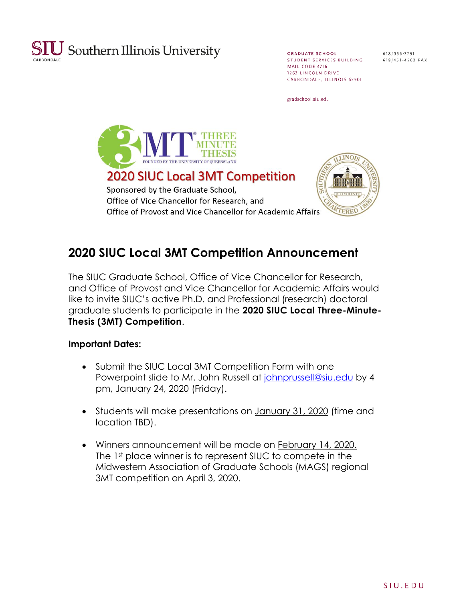

**GRADUATE SCHOOL** STUDENT SERVICES BUILDING MAIL CODE 4716 1263 LINCOLN DRIVE CARBONDALE, ILLINOIS 62901

618/536-7791 618/453-4562 FAX

gradschool.siu.edu



# **2020 SIUC Local 3MT Competition Announcement**

The SIUC Graduate School, Office of Vice Chancellor for Research, and Office of Provost and Vice Chancellor for Academic Affairs would like to invite SIUC's active Ph.D. and Professional (research) doctoral graduate students to participate in the **2020 SIUC Local Three-Minute-Thesis (3MT) Competition**.

#### **Important Dates:**

- Submit the SIUC Local 3MT Competition Form with one Powerpoint slide to Mr. John Russell at [johnprussell@siu.edu](mailto:johnprussell@siu.edu) by 4 pm, January 24, 2020 (Friday).
- Students will make presentations on January 31, 2020 (time and location TBD).
- Winners announcement will be made on February 14, 2020. The 1st place winner is to represent SIUC to compete in the Midwestern Association of Graduate Schools (MAGS) regional 3MT competition on April 3, 2020.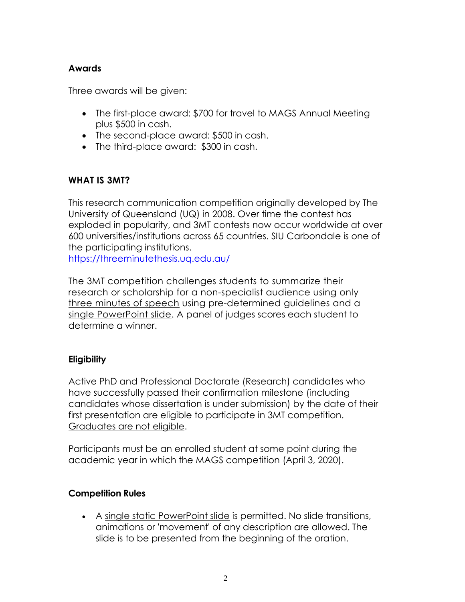#### **Awards**

Three awards will be given:

- The first-place award: \$700 for travel to MAGS Annual Meeting plus \$500 in cash.
- The second-place award: \$500 in cash.
- The third-place award: \$300 in cash.

#### **WHAT IS 3MT?**

This research communication competition originally developed by The University of Queensland (UQ) in 2008. Over time the contest has exploded in popularity, and 3MT contests now occur worldwide at over 600 universities/institutions across 65 countries. SIU Carbondale is one of the participating institutions. <https://threeminutethesis.uq.edu.au/>

The 3MT competition challenges students to summarize their research or scholarship for a non-specialist audience using only three minutes of speech using pre-determined guidelines and a single PowerPoint slide. A panel of judges scores each student to determine a winner.

## **Eligibility**

Active PhD and Professional Doctorate (Research) candidates who have successfully passed their confirmation milestone (including candidates whose dissertation is under submission) by the date of their first presentation are eligible to participate in 3MT competition. Graduates are not eligible.

Participants must be an enrolled student at some point during the academic year in which the MAGS competition (April 3, 2020).

#### **Competition Rules**

• A single static PowerPoint slide is permitted. No slide transitions, animations or 'movement' of any description are allowed. The slide is to be presented from the beginning of the oration.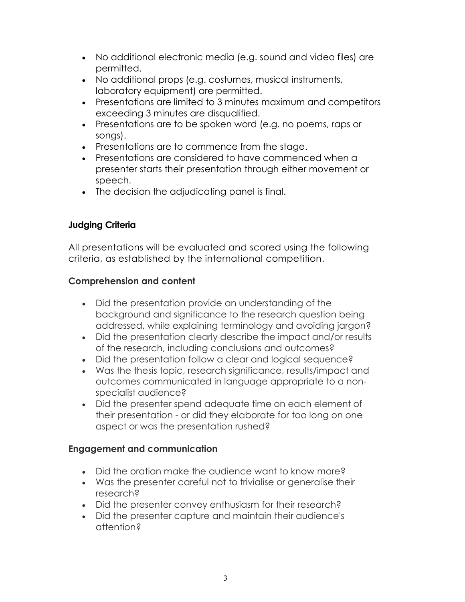- No additional electronic media (e.g. sound and video files) are permitted.
- No additional props (e.g. costumes, musical instruments, laboratory equipment) are permitted.
- Presentations are limited to 3 minutes maximum and competitors exceeding 3 minutes are disqualified.
- Presentations are to be spoken word (e.g. no poems, raps or songs).
- Presentations are to commence from the stage.
- Presentations are considered to have commenced when a presenter starts their presentation through either movement or speech.
- The decision the adjudicating panel is final.

# **Judging Criteria**

All presentations will be evaluated and scored using the following criteria, as established by the [international](https://threeminutethesis.uq.edu.au/resources/judging-criteria) competition.

## **Comprehension and content**

- Did the presentation provide an understanding of the background and significance to the research question being addressed, while explaining terminology and avoiding jargon?
- Did the presentation clearly describe the impact and/or results of the research, including conclusions and outcomes?
- Did the presentation follow a clear and logical sequence?
- Was the thesis topic, research significance, results/impact and outcomes communicated in language appropriate to a nonspecialist audience?
- Did the presenter spend adequate time on each element of their presentation - or did they elaborate for too long on one aspect or was the presentation rushed?

# **Engagement and communication**

- Did the oration make the audience want to know more?
- Was the presenter careful not to trivialise or generalise their research?
- Did the presenter convey enthusiasm for their research?
- Did the presenter capture and maintain their audience's attention?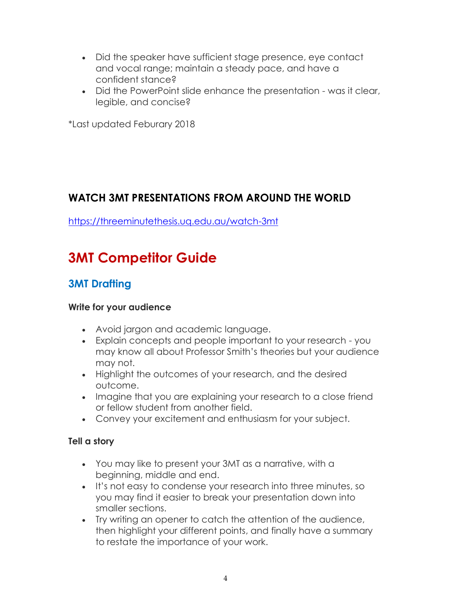- Did the speaker have sufficient stage presence, eye contact and vocal range; maintain a steady pace, and have a confident stance?
- Did the PowerPoint slide enhance the presentation was it clear, legible, and concise?

\*Last updated Feburary 2018

# **WATCH 3MT PRESENTATIONS FROM AROUND THE WORLD**

<https://threeminutethesis.uq.edu.au/watch-3mt>

# **3MT Competitor Guide**

# **3MT Drafting**

#### **Write for your audience**

- Avoid jargon and academic language.
- Explain concepts and people important to your research you may know all about Professor Smith's theories but your audience may not.
- Highlight the outcomes of your research, and the desired outcome.
- Imagine that you are explaining your research to a close friend or fellow student from another field.
- Convey your excitement and enthusiasm for your subject.

## **Tell a story**

- You may like to present your 3MT as a narrative, with a beginning, middle and end.
- It's not easy to condense your research into three minutes, so you may find it easier to break your presentation down into smaller sections.
- Try writing an opener to catch the attention of the audience, then highlight your different points, and finally have a summary to restate the importance of your work.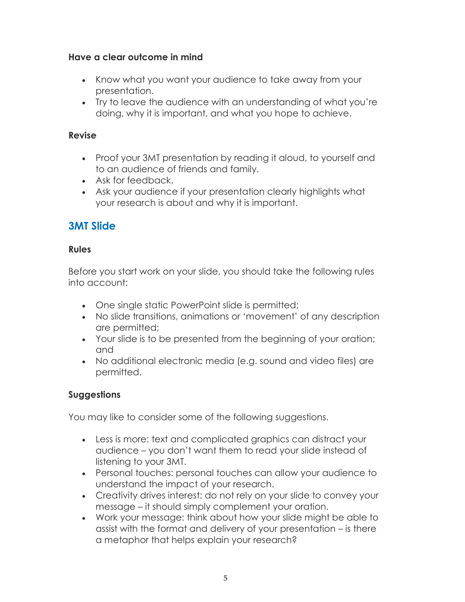#### **Have a clear outcome in mind**

- Know what you want your audience to take away from your presentation.
- Try to leave the audience with an understanding of what you're doing, why it is important, and what you hope to achieve.

#### **Revise**

- Proof your 3MT presentation by reading it aloud, to yourself and to an audience of friends and family.
- Ask for feedback.
- Ask your audience if your presentation clearly highlights what your research is about and why it is important.

# **3MT Slide**

#### **Rules**

Before you start work on your slide, you should take the following rules into account:

- One single static PowerPoint slide is permitted;
- No slide transitions, animations or 'movement' of any description are permitted;
- Your slide is to be presented from the beginning of your oration; and
- No additional electronic media (e.g. sound and video files) are permitted.

#### **Suggestions**

You may like to consider some of the following suggestions.

- Less is more: text and complicated graphics can distract your audience – you don't want them to read your slide instead of listening to your 3MT.
- Personal touches: personal touches can allow your audience to understand the impact of your research.
- Creativity drives interest: do not rely on your slide to convey your message – it should simply complement your oration.
- Work your message: think about how your slide might be able to assist with the format and delivery of your presentation – is there a metaphor that helps explain your research?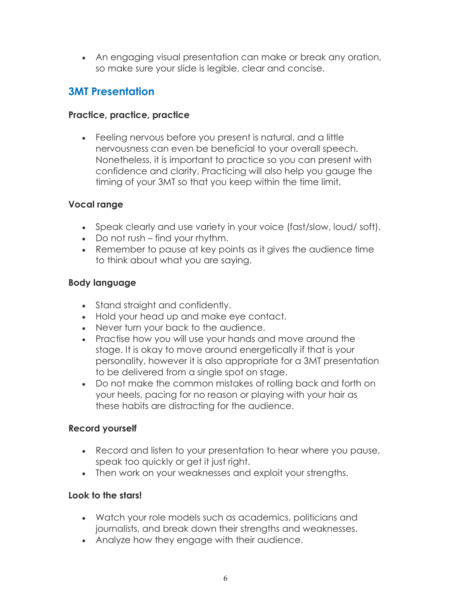• An engaging visual presentation can make or break any oration, so make sure your slide is legible, clear and concise.

# **3MT Presentation**

#### **Practice, practice, practice**

• Feeling nervous before you present is natural, and a little nervousness can even be beneficial to your overall speech. Nonetheless, it is important to practice so you can present with confidence and clarity. Practicing will also help you gauge the timing of your 3MT so that you keep within the time limit.

#### **Vocal range**

- Speak clearly and use variety in your voice (fast/slow, loud/ soft).
- Do not rush find your rhythm.
- Remember to pause at key points as it gives the audience time to think about what you are saying.

#### **Body language**

- Stand straight and confidently.
- Hold your head up and make eye contact.
- Never turn your back to the audience.
- Practise how you will use your hands and move around the stage. It is okay to move around energetically if that is your personality, however it is also appropriate for a 3MT presentation to be delivered from a single spot on stage.
- Do not make the common mistakes of rolling back and forth on your heels, pacing for no reason or playing with your hair as these habits are distracting for the audience.

## **Record yourself**

- Record and listen to your presentation to hear where you pause, speak too quickly or get it just right.
- Then work on your weaknesses and exploit your strengths.

#### **Look to the stars!**

- Watch your role models such as academics, politicians and journalists, and break down their strengths and weaknesses.
- Analyze how they engage with their audience.